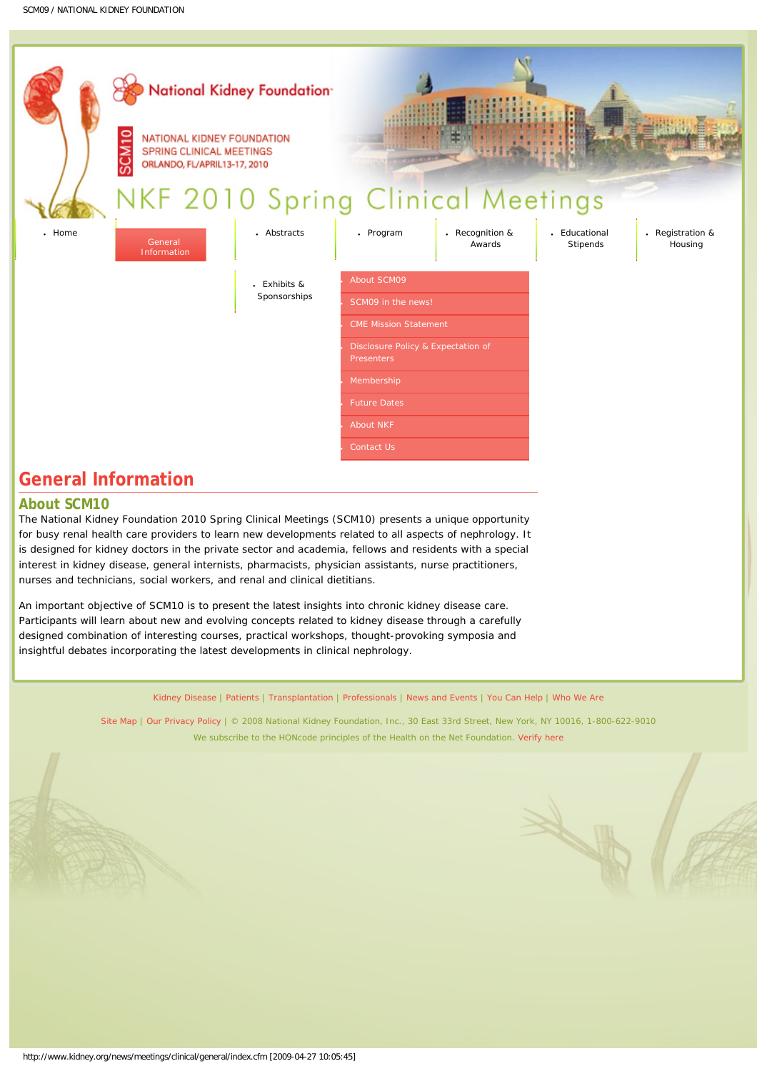<span id="page-0-0"></span>

## **General Information**

## **About SCM10**

The National Kidney Foundation 2010 Spring Clinical Meetings (SCM10) presents a unique opportunity for busy renal health care providers to learn new developments related to all aspects of nephrology. It is designed for kidney doctors in the private sector and academia, fellows and residents with a special interest in kidney disease, general internists, pharmacists, physician assistants, nurse practitioners, nurses and technicians, social workers, and renal and clinical dietitians.

An important objective of SCM10 is to present the latest insights into chronic kidney disease care. Participants will learn about new and evolving concepts related to kidney disease through a carefully designed combination of interesting courses, practical workshops, thought-provoking symposia and insightful debates incorporating the latest developments in clinical nephrology.

[Kidney Disease](http://www.kidney.org/kidneyDisease/) | [Patients](http://www.kidney.org/patients/) | [Transplantation](http://www.kidney.org/transplantation/) | [Professionals](http://www.kidney.org/professionals/) | [News and Events](http://www.kidney.org/news/) | [You Can Help](http://www.kidney.org/support/) | [Who We Are](http://www.kidney.org/about/)

[Site Map](http://www.kidney.org/about/sitemap.cfm) | [Our Privacy Policy](http://www.kidney.org/about/privacy.cfm) | © 2008 National Kidney Foundation, Inc., 30 East 33rd Street, New York, NY 10016, 1-800-622-9010 We subscribe to the HONcode principles of the Health on the Net Foundation. [Verify here](http://www.hon.ch/HONcode/Conduct.html?HONConduct627563)

X